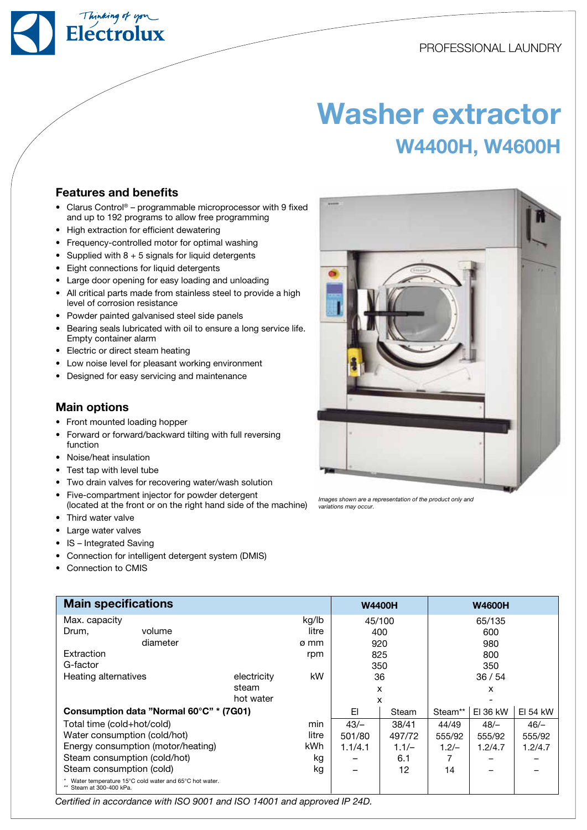

# Washer extractor W4400H, W4600H

### Features and benefits

- Clarus Control<sup>®</sup> programmable microprocessor with 9 fixed and up to 192 programs to allow free programming
- High extraction for efficient dewatering
- Frequency-controlled motor for optimal washing
- Supplied with  $8 + 5$  signals for liquid detergents
- Eight connections for liquid detergents
- Large door opening for easy loading and unloading
- All critical parts made from stainless steel to provide a high level of corrosion resistance
- • Powder painted galvanised steel side panels
- Bearing seals lubricated with oil to ensure a long service life. Empty container alarm
- Electric or direct steam heating
- Low noise level for pleasant working environment
- Designed for easy servicing and maintenance

## Main options

- Front mounted loading hopper
- Forward or forward/backward tilting with full reversing function
- • Noise/heat insulation
- Test tap with level tube
- Two drain valves for recovering water/wash solution
- Five-compartment injector for powder detergent
- (located at the front or on the right hand side of the machine) Third water valve
- Large water valves
- IS Integrated Saving
- Connection for intelligent detergent system (DMIS)
- Connection to CMIS

| <b>Main specifications</b>              |                                                         |             | <b>W4400H</b> |         | <b>W4600H</b> |         |          |          |
|-----------------------------------------|---------------------------------------------------------|-------------|---------------|---------|---------------|---------|----------|----------|
| Max. capacity                           |                                                         | kg/lb       | 45/100        |         | 65/135        |         |          |          |
| Drum,<br>volume                         |                                                         |             | litre         | 400     |               | 600     |          |          |
|                                         | diameter                                                |             | ø mm          | 920     |               |         | 980      |          |
| Extraction                              |                                                         |             | rpm           | 825     |               | 800     |          |          |
| G-factor                                |                                                         |             |               | 350     |               |         | 350      |          |
| Heating alternatives                    |                                                         | electricity | kW            | 36      |               | 36/54   |          |          |
|                                         |                                                         | steam       |               | X       |               |         | X        |          |
|                                         |                                                         | hot water   |               | x       |               |         |          |          |
| Consumption data "Normal 60°C" * (7G01) |                                                         |             |               | EI      | Steam         | Steam** | EI 36 kW | EI 54 kW |
| Total time (cold+hot/cold)              |                                                         |             | min           | $43/-$  | 38/41         | 44/49   | $48/-$   | $46/-$   |
| Water consumption (cold/hot)            |                                                         | litre       | 501/80        | 497/72  | 555/92        | 555/92  | 555/92   |          |
| Energy consumption (motor/heating)      |                                                         | kWh         | 1.1/4.1       | $1.1/-$ | $1.2/-$       | 1.2/4.7 | 1.2/4.7  |          |
| Steam consumption (cold/hot)            |                                                         | kg          |               | 6.1     |               |         |          |          |
| Steam consumption (cold)                |                                                         | kg          |               | 12      | 14            |         |          |          |
| Steam at 300-400 kPa.                   | * Water temperature 15°C cold water and 65°C hot water. |             |               |         |               |         |          |          |

Certified in accordance with ISO 9001 and ISO 14001 and approved IP 24D.



Images shown are a representation of the product only and variations may occur.

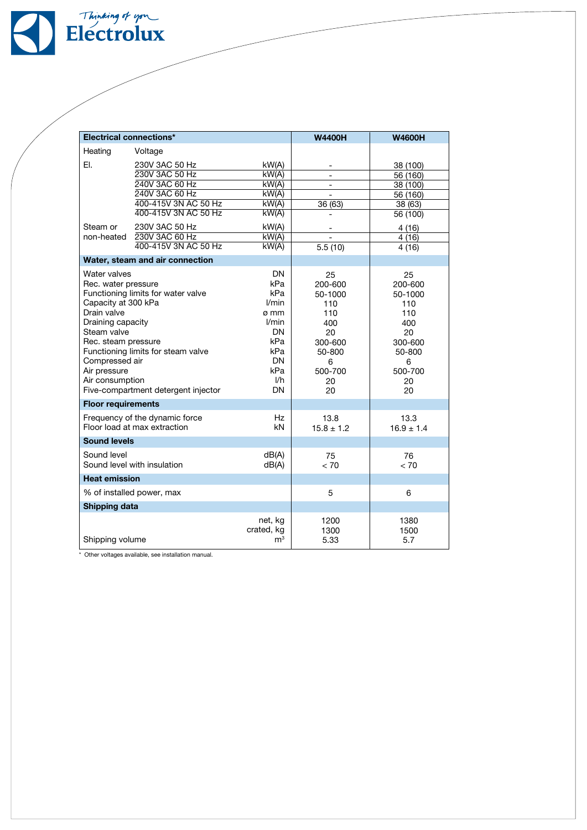

| <b>Electrical connections*</b>                                                                                                                                                                                                                                                                                                            |                                              |                                                                                                                     | <b>W4400H</b>                                                                                        | <b>W4600H</b>                                                                                        |  |
|-------------------------------------------------------------------------------------------------------------------------------------------------------------------------------------------------------------------------------------------------------------------------------------------------------------------------------------------|----------------------------------------------|---------------------------------------------------------------------------------------------------------------------|------------------------------------------------------------------------------------------------------|------------------------------------------------------------------------------------------------------|--|
| Heating                                                                                                                                                                                                                                                                                                                                   | Voltage                                      |                                                                                                                     |                                                                                                      |                                                                                                      |  |
| EI.                                                                                                                                                                                                                                                                                                                                       | 230V 3AC 50 Hz                               | kW(A)                                                                                                               |                                                                                                      | 38 (100)                                                                                             |  |
|                                                                                                                                                                                                                                                                                                                                           | 230V 3AC 50 Hz                               | kW(A)                                                                                                               | $\overline{a}$                                                                                       | 56 (160)                                                                                             |  |
|                                                                                                                                                                                                                                                                                                                                           | 240V 3AC 60 Hz                               | kW(A)                                                                                                               | $\overline{\phantom{a}}$                                                                             | 38 (100)                                                                                             |  |
|                                                                                                                                                                                                                                                                                                                                           | 240V 3AC 60 Hz                               | kW(A)                                                                                                               | $\overline{a}$                                                                                       | 56 (160)                                                                                             |  |
|                                                                                                                                                                                                                                                                                                                                           | 400-415V 3N AC 50 Hz<br>400-415V 3N AC 50 Hz | kW(A)                                                                                                               | 36 (63)                                                                                              | 38 (63)                                                                                              |  |
|                                                                                                                                                                                                                                                                                                                                           |                                              | kW(A)                                                                                                               |                                                                                                      | 56 (100)                                                                                             |  |
| Steam or                                                                                                                                                                                                                                                                                                                                  | 230V 3AC 50 Hz                               | kW(A)                                                                                                               |                                                                                                      | 4(16)                                                                                                |  |
| non-heated                                                                                                                                                                                                                                                                                                                                | 230V 3AC 60 Hz<br>400-415V 3N AC 50 Hz       | kW(A)<br>kW(A)                                                                                                      | 5.5(10)                                                                                              | 4(16)                                                                                                |  |
|                                                                                                                                                                                                                                                                                                                                           |                                              |                                                                                                                     |                                                                                                      | 4(16)                                                                                                |  |
|                                                                                                                                                                                                                                                                                                                                           | Water, steam and air connection              |                                                                                                                     |                                                                                                      |                                                                                                      |  |
| Water valves<br>Rec. water pressure<br>Functioning limits for water valve<br>Capacity at 300 kPa<br>Drain valve<br>Draining capacity<br>Steam valve<br>Rec. steam pressure<br>Functioning limits for steam valve<br>Compressed air<br>Air pressure<br>Air consumption<br>Five-compartment detergent injector<br><b>Floor requirements</b> |                                              | <b>DN</b><br>kPa<br>kPa<br>l/min<br>ø mm<br>l/min<br>DN<br>kPa<br>kPa<br><b>DN</b><br>kPa<br>I/h<br><b>DN</b><br>Hz | 25<br>200-600<br>50-1000<br>110<br>110<br>400<br>20<br>300-600<br>50-800<br>6<br>500-700<br>20<br>20 | 25<br>200-600<br>50-1000<br>110<br>110<br>400<br>20<br>300-600<br>50-800<br>6<br>500-700<br>20<br>20 |  |
| Frequency of the dynamic force<br>Floor load at max extraction                                                                                                                                                                                                                                                                            |                                              | kN                                                                                                                  | 13.8<br>$15.8 \pm 1.2$                                                                               | 13.3<br>$16.9 \pm 1.4$                                                                               |  |
| <b>Sound levels</b>                                                                                                                                                                                                                                                                                                                       |                                              |                                                                                                                     |                                                                                                      |                                                                                                      |  |
| Sound level<br>Sound level with insulation                                                                                                                                                                                                                                                                                                |                                              | dB(A)<br>dB(A)                                                                                                      | 75<br>< 70                                                                                           | 76<br>< 70                                                                                           |  |
| <b>Heat emission</b>                                                                                                                                                                                                                                                                                                                      |                                              |                                                                                                                     |                                                                                                      |                                                                                                      |  |
| % of installed power, max                                                                                                                                                                                                                                                                                                                 |                                              | 5                                                                                                                   | 6                                                                                                    |                                                                                                      |  |
| Shipping data                                                                                                                                                                                                                                                                                                                             |                                              |                                                                                                                     |                                                                                                      |                                                                                                      |  |
| Shipping volume                                                                                                                                                                                                                                                                                                                           |                                              | net, kg<br>crated, kg<br>$\mathsf{m}^3$                                                                             | 1200<br>1300<br>5.33                                                                                 | 1380<br>1500<br>5.7                                                                                  |  |

\* Other voltages available, see installation manual.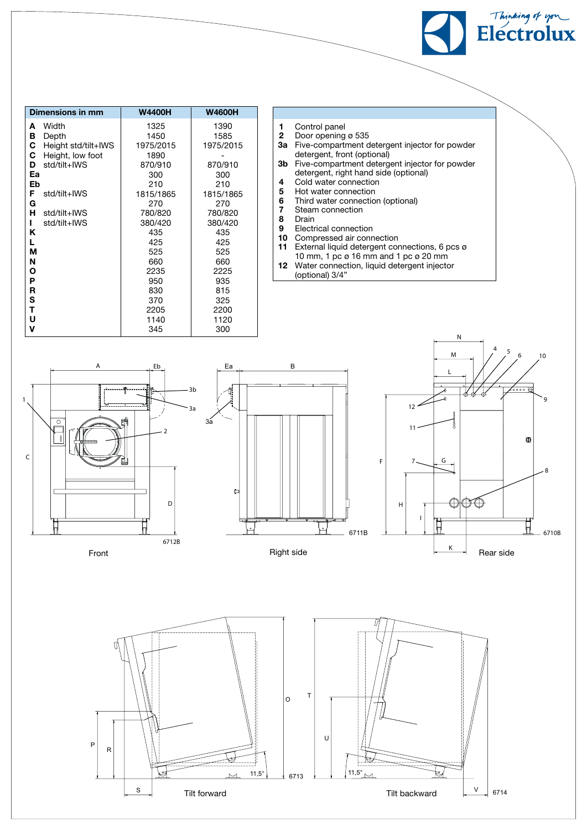| Dimensions in mm         | <b>W4400H</b> | <b>W4600H</b> |  |
|--------------------------|---------------|---------------|--|
| Width<br>A               | 1325          | 1390          |  |
| в<br>Depth               | 1450          | 1585          |  |
| С<br>Height std/tilt+IWS | 1975/2015     | 1975/2015     |  |
| С<br>Height, low foot    | 1890          |               |  |
| std/tilt+IWS<br>D        | 870/910       | 870/910       |  |
| Ea                       | 300           | 300           |  |
| Eb                       | 210           | 210           |  |
| F<br>std/tilt+IWS        | 1815/1865     | 1815/1865     |  |
| G                        | 270           | 270           |  |
| н<br>std/tilt+IWS        | 780/820       | 780/820       |  |
| std/tilt+IWS<br>ı        | 380/420       | 380/420       |  |
| Κ                        | 435           | 435           |  |
| L                        | 425           | 425           |  |
| М                        | 525           | 525           |  |
| N                        | 660           | 660           |  |
| Ο                        | 2235          | 2225          |  |
| P                        | 950           | 935           |  |
| R                        | 830           | 815           |  |
| S                        | 370           | 325           |  |
| т                        | 2205          | 2200          |  |
| U                        | 1140          | 1120          |  |
| ۷                        | 345           | 300           |  |

- 1 Control panel
- **2** Door opening ø 535 3a Five-compartment detergent injector for powder
- detergent, front (optional) 3b Five-compartment detergent injector for powder detergent, right hand side (optional)
- 4 Cold water connection<br>5 Hot water connection
- Hot water connection
- 6 Third water connection (optional)<br>7 Steam connection
- **7** Steam connection<br>**8** Drain
- Drain
- 9 Electrical connection<br>10 Compressed air conn
- Compressed air connection 11 External liquid detergent connections, 6 pcs ø
- 10 mm, 1 pc ø 16 mm and 1 pc ø 20 mm
- 12 Water connection, liquid detergent injector (optional) 3/4"
- Ea B 3a A 1 C 2 D 6712B 3a 3b Eb



Thinking of upre